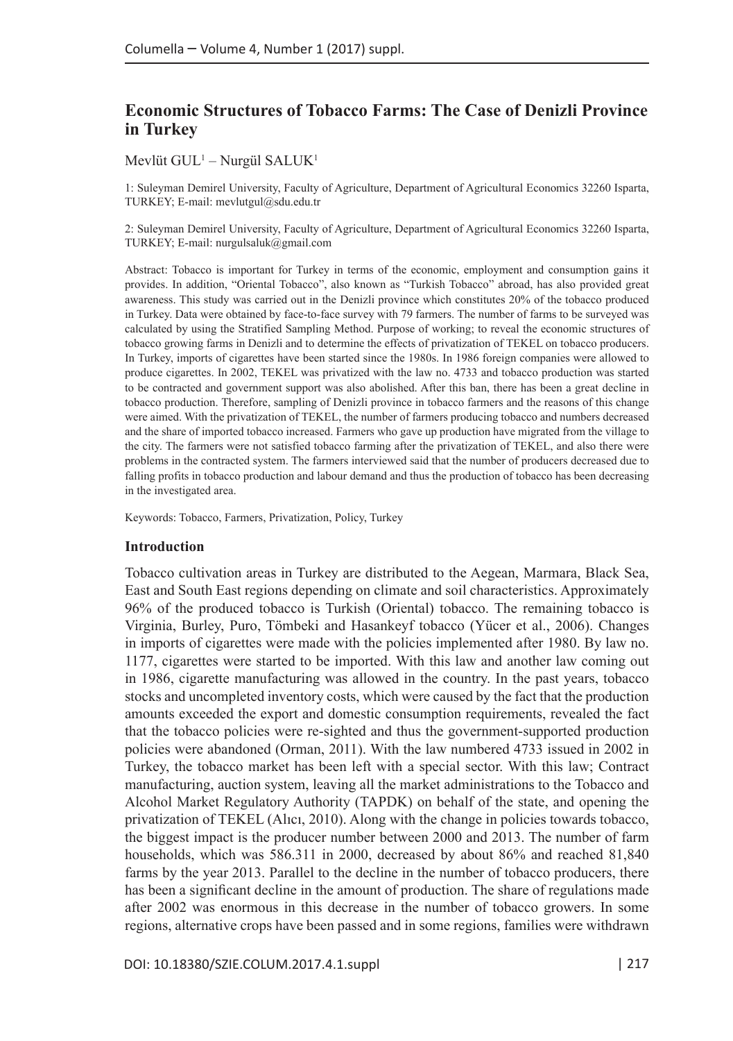# **Economic Structures of Tobacco Farms: The Case of Denizli Province in Turkey**

Mevlüt  $GUL<sup>1</sup> - Nurgül SALUK<sup>1</sup>$ 

1: Suleyman Demirel University, Faculty of Agriculture, Department of Agricultural Economics 32260 Isparta, TURKEY; E-mail: mevlutgul@sdu.edu.tr

2: Suleyman Demirel University, Faculty of Agriculture, Department of Agricultural Economics 32260 Isparta, TURKEY; E-mail: nurgulsaluk@gmail.com

Abstract: Tobacco is important for Turkey in terms of the economic, employment and consumption gains it provides. In addition, "Oriental Tobacco", also known as "Turkish Tobacco" abroad, has also provided great awareness. This study was carried out in the Denizli province which constitutes 20% of the tobacco produced in Turkey. Data were obtained by face-to-face survey with 79 farmers. The number of farms to be surveyed was calculated by using the Stratified Sampling Method. Purpose of working; to reveal the economic structures of tobacco growing farms in Denizli and to determine the effects of privatization of TEKEL on tobacco producers. In Turkey, imports of cigarettes have been started since the 1980s. In 1986 foreign companies were allowed to produce cigarettes. In 2002, TEKEL was privatized with the law no. 4733 and tobacco production was started to be contracted and government support was also abolished. After this ban, there has been a great decline in tobacco production. Therefore, sampling of Denizli province in tobacco farmers and the reasons of this change were aimed. With the privatization of TEKEL, the number of farmers producing tobacco and numbers decreased and the share of imported tobacco increased. Farmers who gave up production have migrated from the village to the city. The farmers were not satisfied tobacco farming after the privatization of TEKEL, and also there were problems in the contracted system. The farmers interviewed said that the number of producers decreased due to falling profits in tobacco production and labour demand and thus the production of tobacco has been decreasing in the investigated area.

Keywords: Tobacco, Farmers, Privatization, Policy, Turkey

#### **Introduction**

Tobacco cultivation areas in Turkey are distributed to the Aegean, Marmara, Black Sea, East and South East regions depending on climate and soil characteristics. Approximately 96% of the produced tobacco is Turkish (Oriental) tobacco. The remaining tobacco is Virginia, Burley, Puro, Tömbeki and Hasankeyf tobacco (Yücer et al., 2006). Changes in imports of cigarettes were made with the policies implemented after 1980. By law no. 1177, cigarettes were started to be imported. With this law and another law coming out in 1986, cigarette manufacturing was allowed in the country. In the past years, tobacco stocks and uncompleted inventory costs, which were caused by the fact that the production amounts exceeded the export and domestic consumption requirements, revealed the fact that the tobacco policies were re-sighted and thus the government-supported production policies were abandoned (Orman, 2011). With the law numbered 4733 issued in 2002 in Turkey, the tobacco market has been left with a special sector. With this law; Contract manufacturing, auction system, leaving all the market administrations to the Tobacco and Alcohol Market Regulatory Authority (TAPDK) on behalf of the state, and opening the privatization of TEKEL (Alıcı, 2010). Along with the change in policies towards tobacco, the biggest impact is the producer number between 2000 and 2013. The number of farm households, which was 586.311 in 2000, decreased by about 86% and reached 81,840 farms by the year 2013. Parallel to the decline in the number of tobacco producers, there has been a significant decline in the amount of production. The share of regulations made after 2002 was enormous in this decrease in the number of tobacco growers. In some regions, alternative crops have been passed and in some regions, families were withdrawn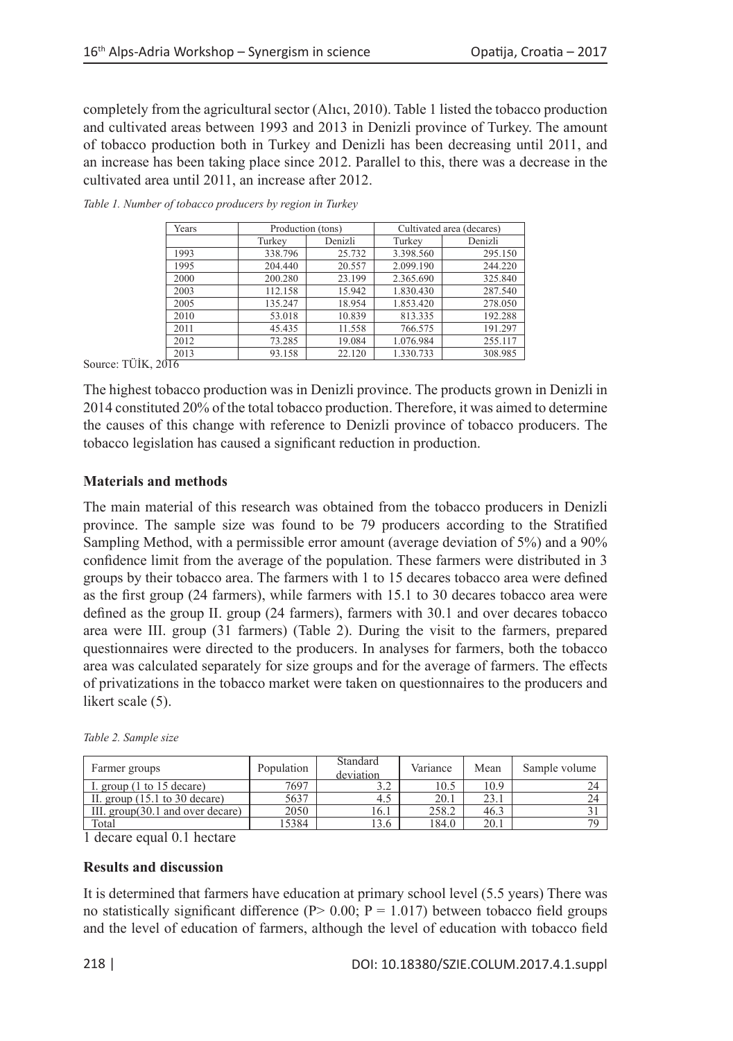completely from the agricultural sector (Alıcı, 2010). Table 1 listed the tobacco production and cultivated areas between 1993 and 2013 in Denizli province of Turkey. The amount of tobacco production both in Turkey and Denizli has been decreasing until 2011, and an increase has been taking place since 2012. Parallel to this, there was a decrease in the cultivated area until 2011, an increase after 2012.

| Years | Production (tons) |         | Cultivated area (decares) |         |  |
|-------|-------------------|---------|---------------------------|---------|--|
|       | Turkey            | Denizli | Turkey                    | Denizli |  |
| 1993  | 338.796           | 25.732  | 3.398.560                 | 295.150 |  |
| 1995  | 204.440           | 20.557  | 2.099.190                 | 244.220 |  |
| 2000  | 200.280           | 23.199  | 2.365.690                 | 325.840 |  |
| 2003  | 112.158           | 15.942  | 1.830.430                 | 287.540 |  |
| 2005  | 135.247           | 18.954  | 1.853.420                 | 278.050 |  |
| 2010  | 53.018            | 10.839  | 813.335                   | 192.288 |  |
| 2011  | 45.435            | 11.558  | 766.575                   | 191.297 |  |
| 2012  | 73.285            | 19.084  | 1.076.984                 | 255.117 |  |
| 2013  | 93.158            | 22.120  | 1.330.733                 | 308.985 |  |

*Table 1. Number of tobacco producers by region in Turkey*

Source: TÜİK, 2016

The highest tobacco production was in Denizli province. The products grown in Denizli in 2014 constituted 20% of the total tobacco production. Therefore, it was aimed to determine the causes of this change with reference to Denizli province of tobacco producers. The tobacco legislation has caused a significant reduction in production.

# **Materials and methods**

The main material of this research was obtained from the tobacco producers in Denizli province. The sample size was found to be 79 producers according to the Stratified Sampling Method, with a permissible error amount (average deviation of 5%) and a 90% confidence limit from the average of the population. These farmers were distributed in 3 groups by their tobacco area. The farmers with 1 to 15 decares tobacco area were defined as the first group (24 farmers), while farmers with 15.1 to 30 decares tobacco area were defined as the group II. group (24 farmers), farmers with 30.1 and over decares tobacco area were III. group (31 farmers) (Table 2). During the visit to the farmers, prepared questionnaires were directed to the producers. In analyses for farmers, both the tobacco area was calculated separately for size groups and for the average of farmers. The effects of privatizations in the tobacco market were taken on questionnaires to the producers and likert scale  $(5)$ .

|  |  | Table 2. Sample size |  |
|--|--|----------------------|--|
|--|--|----------------------|--|

| Farmer groups                                    | Population | Standard<br>deviation | Variance | Mean | Sample volume |
|--------------------------------------------------|------------|-----------------------|----------|------|---------------|
| I. group $(1 \text{ to } 15 \text{ decade})$     | 7697       | ے ۔                   | 10.5     | 10.9 |               |
| II. group $(15.1 \text{ to } 30 \text{ decade})$ | 5637       | 4.5                   | 20.1     | 23.1 | 24            |
| III. group(30.1 and over decare)                 | 2050       | 16.1                  | 258.2    | 46.3 |               |
| Total                                            | 5384       | 13.6                  | 184.0    | 20.1 | 70            |

1 decare equal 0.1 hectare

### **Results and discussion**

It is determined that farmers have education at primary school level (5.5 years) There was no statistically significant difference (P $> 0.00$ ; P = 1.017) between tobacco field groups and the level of education of farmers, although the level of education with tobacco field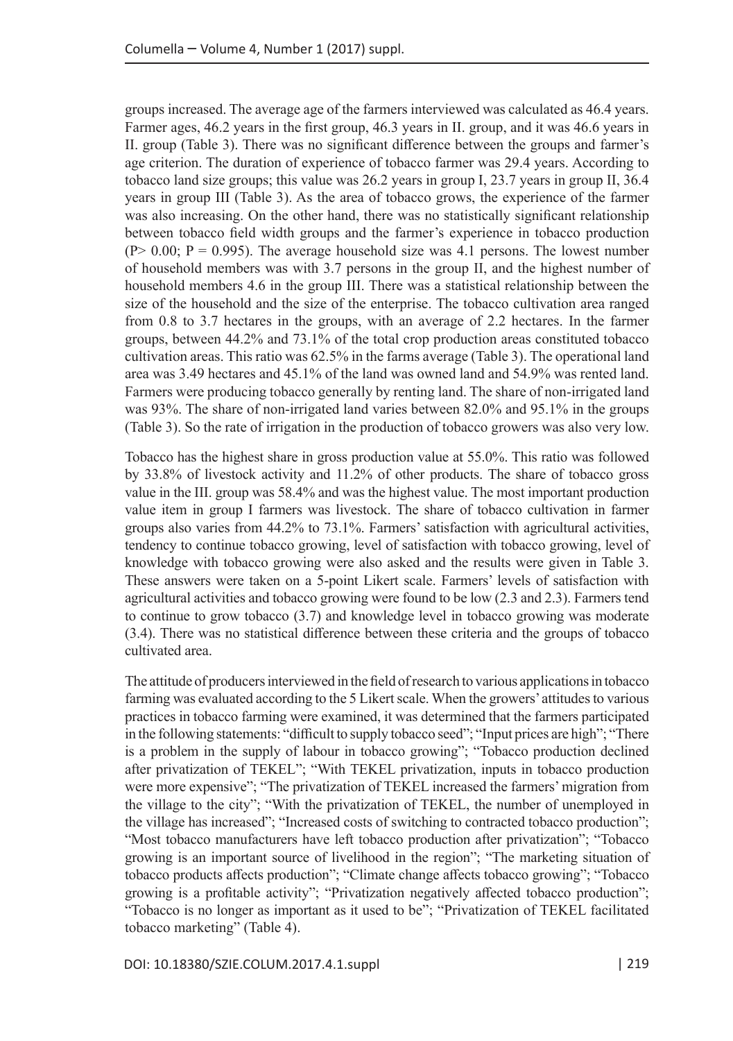groups increased. The average age of the farmers interviewed was calculated as 46.4 years. Farmer ages, 46.2 years in the first group, 46.3 years in II. group, and it was 46.6 years in II. group (Table 3). There was no significant difference between the groups and farmer's age criterion. The duration of experience of tobacco farmer was 29.4 years. According to tobacco land size groups; this value was 26.2 years in group I, 23.7 years in group II, 36.4 years in group III (Table 3). As the area of tobacco grows, the experience of the farmer was also increasing. On the other hand, there was no statistically significant relationship between tobacco field width groups and the farmer's experience in tobacco production  $(P > 0.00; P = 0.995)$ . The average household size was 4.1 persons. The lowest number of household members was with 3.7 persons in the group II, and the highest number of household members 4.6 in the group III. There was a statistical relationship between the size of the household and the size of the enterprise. The tobacco cultivation area ranged from 0.8 to 3.7 hectares in the groups, with an average of 2.2 hectares. In the farmer groups, between 44.2% and 73.1% of the total crop production areas constituted tobacco cultivation areas. This ratio was 62.5% in the farms average (Table 3). The operational land area was 3.49 hectares and 45.1% of the land was owned land and 54.9% was rented land. Farmers were producing tobacco generally by renting land. The share of non-irrigated land was 93%. The share of non-irrigated land varies between 82.0% and 95.1% in the groups (Table 3). So the rate of irrigation in the production of tobacco growers was also very low.

Tobacco has the highest share in gross production value at 55.0%. This ratio was followed by 33.8% of livestock activity and 11.2% of other products. The share of tobacco gross value in the III. group was 58.4% and was the highest value. The most important production value item in group I farmers was livestock. The share of tobacco cultivation in farmer groups also varies from 44.2% to 73.1%. Farmers' satisfaction with agricultural activities, tendency to continue tobacco growing, level of satisfaction with tobacco growing, level of knowledge with tobacco growing were also asked and the results were given in Table 3. These answers were taken on a 5-point Likert scale. Farmers' levels of satisfaction with agricultural activities and tobacco growing were found to be low (2.3 and 2.3). Farmers tend to continue to grow tobacco (3.7) and knowledge level in tobacco growing was moderate (3.4). There was no statistical difference between these criteria and the groups of tobacco cultivated area.

The attitude of producers interviewed in the field of research to various applications in tobacco farming was evaluated according to the 5 Likert scale. When the growers' attitudes to various practices in tobacco farming were examined, it was determined that the farmers participated in the following statements: "difficult to supply tobacco seed"; "Input prices are high"; "There is a problem in the supply of labour in tobacco growing"; "Tobacco production declined after privatization of TEKEL"; "With TEKEL privatization, inputs in tobacco production were more expensive"; "The privatization of TEKEL increased the farmers' migration from the village to the city"; "With the privatization of TEKEL, the number of unemployed in the village has increased"; "Increased costs of switching to contracted tobacco production"; "Most tobacco manufacturers have left tobacco production after privatization"; "Tobacco growing is an important source of livelihood in the region"; "The marketing situation of tobacco products affects production"; "Climate change affects tobacco growing"; "Tobacco growing is a profitable activity"; "Privatization negatively affected tobacco production"; "Tobacco is no longer as important as it used to be"; "Privatization of TEKEL facilitated tobacco marketing" (Table 4).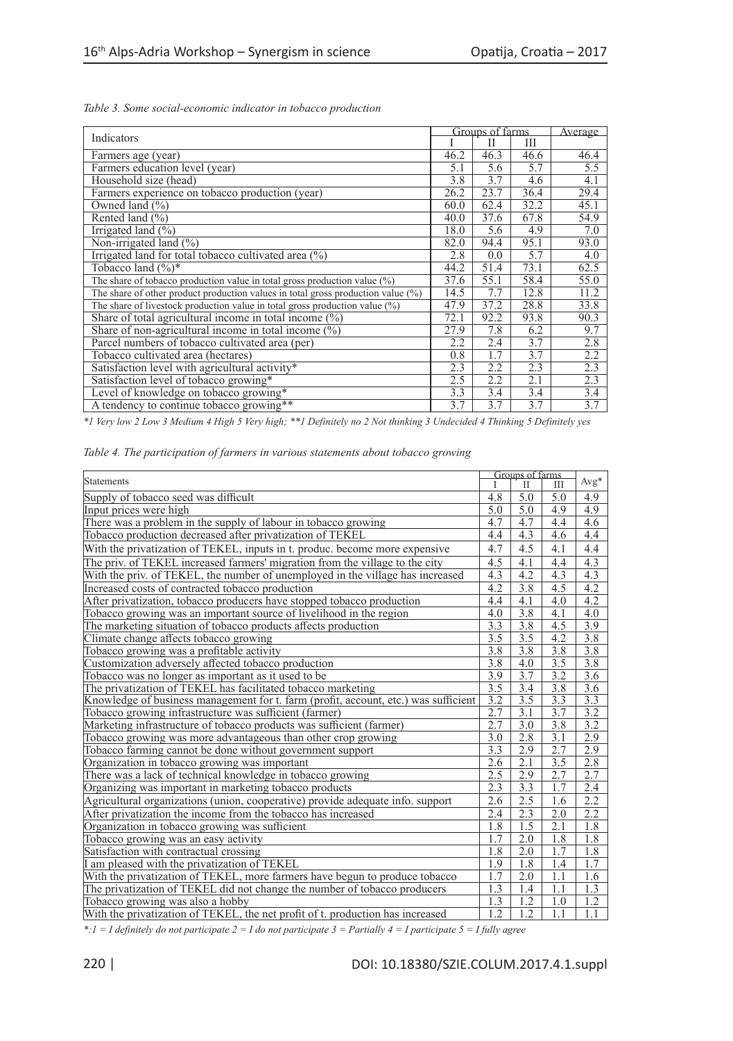|                                                                                  | Groups of farms | <u>Average </u> |      |      |
|----------------------------------------------------------------------------------|-----------------|-----------------|------|------|
| Indicators                                                                       |                 | H               | Ш    |      |
| Farmers age (year)                                                               | 46.2            | 46.3            | 46.6 | 46.4 |
| Farmers education level (year)                                                   | 5.1             | 5.6             | 5.7  | 5.5  |
| Household size (head)                                                            | 3.8             | 3.7             | 4.6  | 4.1  |
| Farmers experience on tobacco production (year)                                  | 26.2            | 23.7            | 36.4 | 29.4 |
| Owned land $(\% )$                                                               | 60.0            | 62.4            | 32.2 | 45.1 |
| Rented land (%)                                                                  | 40.0            | 37.6            | 67.8 | 54.9 |
| Irrigated land $(\% )$                                                           | 18.0            | 5.6             | 4.9  | 7.0  |
| Non-irrigated land (%)                                                           | 82.0            | 94.4            | 95.1 | 93.0 |
| Irrigated land for total tobacco cultivated area (%)                             | 2.8             | 0.0             | 5.7  | 4.0  |
| Tobacco land $(\%)^*$                                                            | 44.2            | 51.4            | 73.1 | 62.5 |
| The share of tobacco production value in total gross production value $(\%)$     | 37.6            | 55.1            | 58.4 | 55.0 |
| The share of other product production values in total gross production value (%) | 14.5            | 7.7             | 12.8 | 11.2 |
| The share of livestock production value in total gross production value (%)      | 47.9            | 37.2            | 28.8 | 33.8 |
| Share of total agricultural income in total income $(\%)$                        | 72.1            | 92.2            | 93.8 | 90.3 |
| Share of non-agricultural income in total income $(\%)$                          | 27.9            | 7.8             | 6.2  | 9.7  |
| Parcel numbers of tobacco cultivated area (per)                                  | 2.2             | 2.4             | 3.7  | 2.8  |
| Tobacco cultivated area (hectares)                                               | 0.8             | 1.7             | 3.7  | 2.2  |
| Satisfaction level with agricultural activity*                                   | 2.3             | 2.2             | 2.3  | 2.3  |
| Satisfaction level of tobacco growing*                                           | 2.5             | 2.2             | 2.1  | 2.3  |
| Level of knowledge on tobacco growing*                                           | 3.3             | 3.4             | 3.4  | 3.4  |
| A tendency to continue tobacco growing**                                         | 3.7             | 3.7             | 3.7  | 3.7  |

*Table 3. Some social-economic indicator in tobacco production*

*\*1 Very low 2 Low 3 Medium 4 High 5 Very high; \*\*1 Definitely no 2 Not thinking 3 Undecided 4 Thinking 5 Definitely yes*

|  |  | Table 4. The participation of farmers in various statements about tobacco growing |  |  |  |  |  |  |  |
|--|--|-----------------------------------------------------------------------------------|--|--|--|--|--|--|--|
|--|--|-----------------------------------------------------------------------------------|--|--|--|--|--|--|--|

|                                                                                     | Groups of farms  |                  |                  |                  |
|-------------------------------------------------------------------------------------|------------------|------------------|------------------|------------------|
| Statements                                                                          | T                | $\mathbf{H}$     | IΙI              | $Avg*$           |
| Supply of tobacco seed was difficult                                                | 4.8              | 5.0              | 5.0              | 4.9              |
| Input prices were high                                                              | 5.0              | 5.0              | 4.9              | 4.9              |
| There was a problem in the supply of labour in tobacco growing                      | 4.7              | 4.7              | 4.4              | 4.6              |
| Tobacco production decreased after privatization of TEKEL                           | 4.4              | 4.3              | 4.6              | 4.4              |
| With the privatization of TEKEL, inputs in t. produc. become more expensive         | 4.7              | 4.5              | 4.1              | 4.4              |
| The priv. of TEKEL increased farmers' migration from the village to the city        | 4.5              | 4.1              | 4.4              | 4.3              |
| With the priv. of TEKEL, the number of unemployed in the village has increased      | 4.3              | 4.2              | 4.3              | 4.3              |
| Increased costs of contracted tobacco production                                    | 4.2              | 3.8              | 4.5              | 4.2              |
| After privatization, tobacco producers have stopped tobacco production              | 4.4              | 4.1              | 4.0              | 4.2              |
| Tobacco growing was an important source of livelihood in the region                 | 4.0              | 3.8              | 4.1              | 4.0              |
| The marketing situation of tobacco products affects production                      | 3.3              | 3.8              | 4.5              | 3.9              |
| Climate change affects tobacco growing                                              | 3.5              | 3.5              | 4.2              | 3.8              |
| Tobacco growing was a profitable activity                                           | 3.8              | 3.8              | 3.8              | 3.8              |
| Customization adversely affected tobacco production                                 | 3.8              | 4.0              | 3.5              | 3.8              |
| Tobacco was no longer as important as it used to be                                 | 3.9              | 3.7              | 3.2              | 3.6              |
| The privatization of TEKEL has facilitated tobacco marketing                        | 3.5              | $\overline{3.4}$ | 3.8              | 3.6              |
| Knowledge of business management for t. farm (profit, account, etc.) was sufficient | 3.2              | 3.5              | 3.3              | 3.3              |
| Tobacco growing infrastructure was sufficient (farmer)                              | 2.7              | 3.1              | 3.7              | 3.2              |
| Marketing infrastructure of tobacco products was sufficient (farmer)                | 2.7              | $\overline{3.0}$ | 3.8              | 3.2              |
| Tobacco growing was more advantageous than other crop growing                       | 3.0              | 2.8              | 3.1              | 2.9              |
| Tobacco farming cannot be done without government support                           | $\overline{3.3}$ | 2.9              | 2.7              | 2.9              |
| Organization in tobacco growing was important                                       | 2.6              | $\overline{2.1}$ | $\overline{3.5}$ | 2.8              |
| There was a lack of technical knowledge in tobacco growing                          | 2.5              | 2.9              | 2.7              | 2.7              |
| Organizing was important in marketing tobacco products                              | 2.3              | 3.3              | 1.7              | 2.4              |
| Agricultural organizations (union, cooperative) provide adequate info. support      | 2.6              | 2.5              | 1.6              | 2.2              |
| After privatization the income from the tobacco has increased                       | 2.4              | 2.3              | 2.0              | 2.2              |
| Organization in tobacco growing was sufficient                                      | 1.8              | 1.5              | 2.1              | 1.8              |
| Tobacco growing was an easy activity                                                | 1.7              | 2.0              | 1.8              | 1.8              |
| Satisfaction with contractual crossing                                              | 1.8              | 2.0              | 1.7              | 1.8              |
| I am pleased with the privatization of TEKEL                                        | 1.9              | 1.8              | 1.4              | 1.7              |
| With the privatization of TEKEL, more farmers have begun to produce tobacco         | 1.7              | 2.0              | 1.1              | 1.6              |
| The privatization of TEKEL did not change the number of tobacco producers           |                  |                  | 1.1              | 1.3              |
| Tobacco growing was also a hobby                                                    |                  |                  | 1.0              | 1.2              |
| With the privatization of TEKEL, the net profit of t. production has increased      | $1.\overline{2}$ | 1.2              | $\overline{1.1}$ | $\overline{1.1}$ |

*\*:1 = I definitely do not participate 2 = I do not participate 3 = Partially 4 = I participate 5 = I fully agree*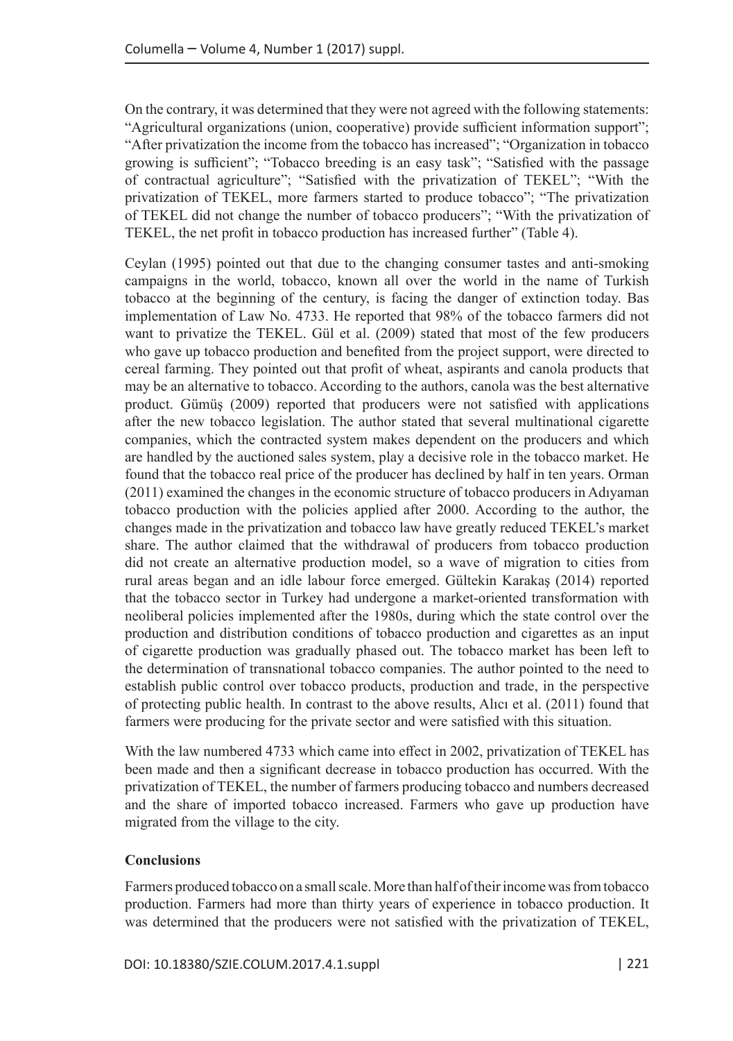On the contrary, it was determined that they were not agreed with the following statements: "Agricultural organizations (union, cooperative) provide sufficient information support"; "After privatization the income from the tobacco has increased"; "Organization in tobacco growing is sufficient"; "Tobacco breeding is an easy task"; "Satisfied with the passage of contractual agriculture"; "Satisfied with the privatization of TEKEL"; "With the privatization of TEKEL, more farmers started to produce tobacco"; "The privatization of TEKEL did not change the number of tobacco producers"; "With the privatization of TEKEL, the net profit in tobacco production has increased further" (Table 4).

Ceylan (1995) pointed out that due to the changing consumer tastes and anti-smoking campaigns in the world, tobacco, known all over the world in the name of Turkish tobacco at the beginning of the century, is facing the danger of extinction today. Bas implementation of Law No. 4733. He reported that 98% of the tobacco farmers did not want to privatize the TEKEL. Gül et al. (2009) stated that most of the few producers who gave up tobacco production and benefited from the project support, were directed to cereal farming. They pointed out that profit of wheat, aspirants and canola products that may be an alternative to tobacco. According to the authors, canola was the best alternative product. Gümüş (2009) reported that producers were not satisfied with applications after the new tobacco legislation. The author stated that several multinational cigarette companies, which the contracted system makes dependent on the producers and which are handled by the auctioned sales system, play a decisive role in the tobacco market. He found that the tobacco real price of the producer has declined by half in ten years. Orman (2011) examined the changes in the economic structure of tobacco producers in Adıyaman tobacco production with the policies applied after 2000. According to the author, the changes made in the privatization and tobacco law have greatly reduced TEKEL's market share. The author claimed that the withdrawal of producers from tobacco production did not create an alternative production model, so a wave of migration to cities from rural areas began and an idle labour force emerged. Gültekin Karakaş (2014) reported that the tobacco sector in Turkey had undergone a market-oriented transformation with neoliberal policies implemented after the 1980s, during which the state control over the production and distribution conditions of tobacco production and cigarettes as an input of cigarette production was gradually phased out. The tobacco market has been left to the determination of transnational tobacco companies. The author pointed to the need to establish public control over tobacco products, production and trade, in the perspective of protecting public health. In contrast to the above results, Alıcı et al. (2011) found that farmers were producing for the private sector and were satisfied with this situation.

With the law numbered 4733 which came into effect in 2002, privatization of TEKEL has been made and then a significant decrease in tobacco production has occurred. With the privatization of TEKEL, the number of farmers producing tobacco and numbers decreased and the share of imported tobacco increased. Farmers who gave up production have migrated from the village to the city.

# **Conclusions**

Farmers produced tobacco on a small scale. More than half of their income was from tobacco production. Farmers had more than thirty years of experience in tobacco production. It was determined that the producers were not satisfied with the privatization of TEKEL,